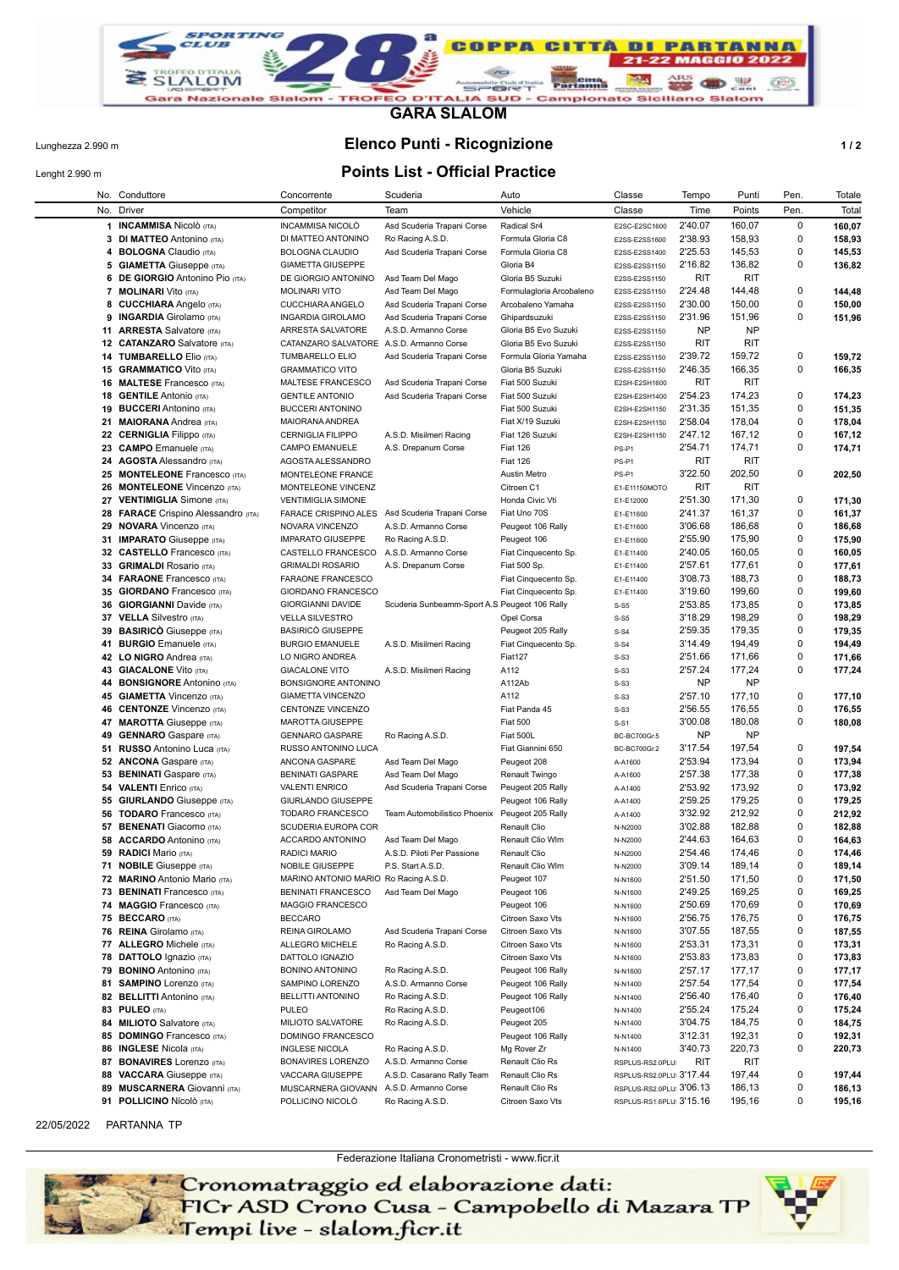

**GARA SLALOM**

### Lunghezza 2.990 m **Elenco Punti - Ricognizione 1 / 2**

# Lenght 2.990 m **Points List - Official Practice**

|    | No. Conduttore                                         | Concorrente                             | Scuderia                                        | Auto                             | Classe                   | Tempo              | Punti            | Pen.        | Totale           |
|----|--------------------------------------------------------|-----------------------------------------|-------------------------------------------------|----------------------------------|--------------------------|--------------------|------------------|-------------|------------------|
|    | No. Driver                                             | Competitor                              | Team                                            | Vehicle                          | Classe                   | Time               | Points           | Pen.        | Total            |
|    | 1 INCAMMISA Nicolò (ITA)                               | INCAMMISA NICOLÒ                        | Asd Scuderia Trapani Corse                      | Radical Sr4                      | E2SC-E2SC1600            | 2'40.07            | 160,07           | $\mathbf 0$ | 160,07           |
|    | 3 DI MATTEO Antonino (ITA)                             | DI MATTEO ANTONINO                      | Ro Racing A.S.D.                                | Formula Gloria C8                | E2SS-E2SS1600            | 2'38.93            | 158,93           | 0           | 158,93           |
| 4  | <b>BOLOGNA</b> Claudio (ITA)                           | <b>BOLOGNA CLAUDIO</b>                  | Asd Scuderia Trapani Corse                      | Formula Gloria C8                | E2SS-E2SS1400            | 2'25.53            | 145,53           | 0           | 145,53           |
|    | <b>5 GIAMETTA Giuseppe (ITA)</b>                       | <b>GIAMETTA GIUSEPPE</b>                |                                                 | Gloria B4                        | E2SS-E2SS1150            | 2'16.82            | 136,82           | 0           | 136,82           |
| 6  | <b>DE GIORGIO Antonino Pio (ITA)</b>                   | DE GIORGIO ANTONINO                     | Asd Team Del Mago                               | Gloria B5 Suzuki                 | E2SS-E2SS1150            | RIT                | <b>RIT</b>       |             |                  |
|    | <b>7 MOLINARI</b> Vito (ITA)                           | <b>MOLINARI VITO</b>                    | Asd Team Del Mago                               | Formulagloria Arcobaleno         | E2SS-E2SS1150            | 2'24.48            | 144,48           | 0           | 144,48           |
| 8  | <b>CUCCHIARA</b> Angelo (ITA)                          | CUCCHIARA ANGELO                        | Asd Scuderia Trapani Corse                      | Arcobaleno Yamaha                | E2SS-E2SS1150            | 2'30.00            | 150,00           | 0           | 150,00           |
|    | 9 INGARDIA Girolamo (ITA)                              | <b>INGARDIA GIROLAMO</b>                | Asd Scuderia Trapani Corse                      | Ghipardsuzuki                    | E2SS-E2SS1150            | 2'31.96            | 151,96           | 0           | 151,96           |
|    | 11 ARRESTA Salvatore (ITA)                             | ARRESTA SALVATORE                       | A.S.D. Armanno Corse                            | Gloria B5 Evo Suzuki             | E2SS-E2SS1150            | <b>NP</b>          | NP               |             |                  |
|    | 12 CATANZARO Salvatore (ITA)                           | CATANZARO SALVATORE                     | A.S.D. Armanno Corse                            | Gloria B5 Evo Suzuki             | E2SS-E2SS1150            | RIT                | <b>RIT</b>       |             |                  |
|    | 14 TUMBARELLO Elio (ITA)                               | <b>TUMBARELLO ELIO</b>                  | Asd Scuderia Trapani Corse                      | Formula Gloria Yamaha            | E2SS-E2SS1150            | 2'39.72            | 159,72           | 0           | 159,72           |
|    | 15 <b>GRAMMATICO</b> Vito (ITA)                        | <b>GRAMMATICO VITO</b>                  |                                                 | Gloria B5 Suzuki                 | E2SS-E2SS1150            | 2'46.35            | 166,35           | 0           | 166,35           |
|    | <b>16 MALTESE Francesco</b> (ITA)                      | MALTESE FRANCESCO                       | Asd Scuderia Trapani Corse                      | Fiat 500 Suzuki                  | E2SH-E2SH1600            | RIT                | <b>RIT</b>       |             |                  |
|    | <b>18 GENTILE Antonio (ITA)</b>                        | <b>GENTILE ANTONIO</b>                  | Asd Scuderia Trapani Corse                      | Fiat 500 Suzuki                  | E2SH-E2SH1400            | 2'54.23            | 174,23           | 0           | 174,23           |
|    | 19 BUCCERI Antonino (ITA)                              | <b>BUCCERI ANTONINO</b>                 |                                                 | Fiat 500 Suzuki                  | E2SH-E2SH1150            | 2'31.35            | 151,35           | 0           | 151,35           |
|    | 21 MAIORANA Andrea (ITA)                               | MAIORANA ANDREA                         |                                                 | Fiat X/19 Suzuki                 | E2SH-E2SH1150            | 2'58.04            | 178,04           | 0           | 178,04           |
|    | 22 CERNIGLIA Filippo (ITA)                             | <b>CERNIGLIA FILIPPO</b>                | A.S.D. Misilmeri Racing                         | Fiat 126 Suzuki                  | E2SH-E2SH1150            | 2'47.12            | 167,12           | 0           | 167,12           |
|    | 23 CAMPO Emanuele (ITA)                                | CAMPO EMANUELE                          | A.S. Drepanum Corse                             | <b>Fiat 126</b>                  | PS-P1                    | 2'54.71            | 174,71           | 0           | 174,71           |
|    | 24 AGOSTA Alessandro (ITA)                             | AGOSTA ALESSANDRO                       |                                                 | <b>Fiat 126</b>                  | PS-P1                    | RIT                | <b>RIT</b>       |             |                  |
|    | 25 MONTELEONE Francesco (ITA)                          | MONTELEONE FRANCE                       |                                                 | Austin Metro                     | PS-P1                    | 3'22.50            | 202,50           | 0           | 202,50           |
|    | 26 MONTELEONE Vincenzo (ITA)                           | MONTELEONE VINCENZ                      |                                                 | Citroen C1                       | E1-E11150MOTO            | RIT                | <b>RIT</b>       |             |                  |
|    | 27 VENTIMIGLIA Simone (ITA)                            | <b>VENTIMIGLIA SIMONE</b>               |                                                 | Honda Civic Vti                  | E1-E12000                | 2'51.30            | 171,30           | 0           | 171,30           |
|    | 28 FARACE Crispino Alessandro (ITA)                    | <b>FARACE CRISPINO ALES</b>             | Asd Scuderia Trapani Corse                      | Fiat Uno 70S                     | E1-E11600                | 2'41.37            | 161,37           | 0           | 161,37           |
|    | 29 NOVARA Vincenzo (ITA)                               | NOVARA VINCENZO                         | A.S.D. Armanno Corse                            | Peugeot 106 Rally                | E1-E11600                | 3'06.68            | 186,68           | 0           | 186,68           |
|    | 31 IMPARATO Giuseppe (ITA)                             | <b>IMPARATO GIUSEPPE</b>                | Ro Racing A.S.D.                                | Peugeot 106                      | E1-E11600                | 2'55.90            | 175,90           | 0           | 175,90           |
|    | 32 CASTELLO Francesco (ITA)                            | CASTELLO FRANCESCO                      | A.S.D. Armanno Corse                            | Fiat Cinquecento Sp.             | E1-E11400                | 2'40.05            | 160,05           | 0           | 160,05           |
|    | 33 GRIMALDI Rosario (ITA)                              | <b>GRIMALDI ROSARIO</b>                 | A.S. Drepanum Corse                             | Fiat 500 Sp.                     | E1-E11400                | 2'57.61            | 177,61           | 0           | 177,61           |
|    | 34 FARAONE Francesco (ITA)                             | FARAONE FRANCESCO                       |                                                 | Fiat Cinquecento Sp.             | E1-E11400                | 3'08.73            | 188,73           | 0           | 188,73           |
|    | 35 GIORDANO Francesco (ITA)                            | <b>GIORDANO FRANCESCO</b>               |                                                 | Fiat Cinquecento Sp.             | E1-E11400                | 3'19.60            | 199,60           | 0           | 199,60           |
|    | 36 GIORGIANNI Davide (ITA)                             | <b>GIORGIANNI DAVIDE</b>                | Scuderia Sunbeamm-Sport A.S Peugeot 106 Rally   |                                  | $S-S5$                   | 2'53.85            | 173,85           | 0           | 173,85           |
|    | 37 VELLA Silvestro (ITA)                               | <b>VELLA SILVESTRO</b>                  |                                                 | Opel Corsa                       | $S-S5$                   | 3'18.29            | 198,29           | 0           | 198,29           |
| 39 | <b>BASIRICO</b> Giuseppe (ITA)                         | <b>BASIRICO GIUSEPPE</b>                |                                                 | Peugeot 205 Rally                | $S-S4$                   | 2'59.35            | 179,35           | 0           | 179,35           |
|    | 41 BURGIO Emanuele (ITA)                               | <b>BURGIO EMANUELE</b>                  | A.S.D. Misilmeri Racing                         | Fiat Cinquecento Sp.             | $S-S4$                   | 3'14.49            | 194,49           | 0           | 194,49           |
|    | 42 LO NIGRO Andrea (ITA)                               | LO NIGRO ANDREA                         |                                                 | Fiat127                          | $S-S3$                   | 2'51.66            | 171,66           | 0           | 171,66           |
|    | 43 GIACALONE Vito (ITA)                                | <b>GIACALONE VITO</b>                   | A.S.D. Misilmeri Racing                         | A112                             | $S-S3$                   | 2'57.24            | 177,24           | 0           | 177,24           |
|    | 44 BONSIGNORE Antonino (ITA)                           | BONSIGNORE ANTONINO                     |                                                 | A112Ab                           | $S-S3$                   | <b>NP</b>          | <b>NP</b>        |             |                  |
|    | 45 GIAMETTA Vincenzo (ITA)                             | <b>GIAMETTA VINCENZO</b>                |                                                 | A112                             | $S-S3$                   | 2'57.10            | 177,10           | 0           | 177,10           |
|    | 46 CENTONZE Vincenzo (ITA)                             | <b>CENTONZE VINCENZO</b>                |                                                 | Fiat Panda 45                    | $S-S3$                   | 2'56.55            | 176,55           | 0           | 176,55           |
| 47 | <b>MAROTTA</b> Giuseppe (ITA)                          | MAROTTA GIUSEPPE                        |                                                 | <b>Fiat 500</b>                  | $S-S1$                   | 3'00.08            | 180,08           | 0           | 180,08           |
|    | 49 GENNARO Gaspare (ITA)                               | <b>GENNARO GASPARE</b>                  | Ro Racing A.S.D.                                | Fiat 500L                        | BC-BC700Gr.5             | <b>NP</b>          | NP               |             |                  |
|    | 51 RUSSO Antonino Luca (ITA)                           | RUSSO ANTONINO LUCA                     |                                                 | Fiat Giannini 650                | BC-BC700Gr.2             | 3'17.54            | 197,54           | 0           | 197,54           |
|    | 52 ANCONA Gaspare (ITA)                                | ANCONA GASPARE                          | Asd Team Del Mago                               | Peugeot 208                      | A-A1600                  | 2'53.94            | 173,94           | 0           | 173,94           |
|    | 53 BENINATI Gaspare (ITA)                              | <b>BENINATI GASPARE</b>                 | Asd Team Del Mago                               | Renault Twingo                   | A-A1600                  | 2'57.38            | 177,38           | 0           | 177,38           |
|    | <b>54 VALENTI Enrico (ITA)</b>                         | <b>VALENTI ENRICO</b>                   | Asd Scuderia Trapani Corse                      | Peugeot 205 Rally                | A-A1400                  | 2'53.92            | 173,92           | 0           | 173,92           |
|    | 55 GIURLANDO Giuseppe (ITA)                            | GIURLANDO GIUSEPPE                      |                                                 | Peugeot 106 Rally                | A-A1400                  | 2'59.25            | 179,25           | 0           | 179,25           |
|    | <b>56 TODARO</b> Francesco (ITA)                       | <b>TODARO FRANCESCO</b>                 | Team Automobilistico Phoenix Peugeot 205 Rally  |                                  | A-A1400                  | 3'32.92            | 212,92           | 0<br>0      | 212,92           |
|    | 57 BENENATI Giacomo (ITA)<br>58 ACCARDO Antonino (ITA) | SCUDERIA EUROPA COR<br>ACCARDO ANTONINO |                                                 | Renault Clio                     | N-N2000                  | 3'02.88<br>2'44.63 | 182,88<br>164,63 | 0           | 182,88           |
|    | 59 RADICI Mario (ITA)                                  | RADICI MARIO                            | Asd Team Del Mago<br>A.S.D. Piloti Per Passione | Renault Clio Wlm<br>Renault Clio | N-N2000<br>N-N2000       | 2'54.46            | 174,46           | 0           | 164,63<br>174,46 |
|    | 71 NOBILE Giuseppe (ITA)                               | NOBILE GIUSEPPE                         | P.S. Start A.S.D.                               | Renault Clio Wlm                 | N-N2000                  | 3'09.14            | 189,14           | 0           | 189,14           |
|    | 72 MARINO Antonio Mario (ITA)                          | MARINO ANTONIO MARIO Ro Racing A.S.D.   |                                                 | Peugeot 107                      | N-N1600                  | 2'51.50            | 171,50           | 0           | 171,50           |
|    | 73 BENINATI Francesco (ITA)                            | <b>BENINATI FRANCESCO</b>               | Asd Team Del Mago                               | Peugeot 106                      | N-N1600                  | 2'49.25            | 169,25           | 0           | 169,25           |
|    | 74 MAGGIO Francesco (ITA)                              | MAGGIO FRANCESCO                        |                                                 | Peugeot 106                      | N-N1600                  | 2'50.69            | 170,69           | 0           | 170,69           |
|    | 75 BECCARO (ITA)                                       | <b>BECCARO</b>                          |                                                 | Citroen Saxo Vts                 | N-N1600                  | 2'56.75            | 176,75           | 0           | 176,75           |
|    | 76 REINA Girolamo (ITA)                                | REINA GIROLAMO                          | Asd Scuderia Trapani Corse                      | Citroen Saxo Vts                 | N-N1600                  | 3'07.55            | 187,55           | 0           | 187,55           |
|    | 77 ALLEGRO Michele (ITA)                               | ALLEGRO MICHELE                         | Ro Racing A.S.D.                                | Citroen Saxo Vts                 | N-N1600                  | 2'53.31            | 173,31           | 0           | 173,31           |
|    | 78 DATTOLO Ignazio (ITA)                               | DATTOLO IGNAZIO                         |                                                 | Citroen Saxo Vts                 | N-N1600                  | 2'53.83            | 173,83           | 0           | 173,83           |
|    | 79 BONINO Antonino (ITA)                               | BONINO ANTONINO                         | Ro Racing A.S.D.                                | Peugeot 106 Rally                | N-N1600                  | 2'57.17            | 177,17           | 0           | 177,17           |
|    | 81 SAMPINO Lorenzo (ITA)                               | SAMPINO LORENZO                         | A.S.D. Armanno Corse                            | Peugeot 106 Rally                | N-N1400                  | 2'57.54            | 177,54           | 0           | 177,54           |
|    | 82 BELLITTI Antonino (ITA)                             | <b>BELLITTI ANTONINO</b>                | Ro Racing A.S.D.                                | Peugeot 106 Rally                | N-N1400                  | 2'56.40            | 176,40           | 0           | 176,40           |
|    | 83 PULEO (ITA)                                         | <b>PULEO</b>                            | Ro Racing A.S.D.                                | Peugeot106                       | N-N1400                  | 2'55.24            | 175,24           | 0           | 175,24           |
|    | 84 MILIOTO Salvatore (ITA)                             | MILIOTO SALVATORE                       | Ro Racing A.S.D.                                | Peugeot 205                      | N-N1400                  | 3'04.75            | 184,75           | 0           | 184,75           |
|    | 85 DOMINGO Francesco (ITA)                             | DOMINGO FRANCESCO                       |                                                 | Peugeot 106 Rally                | N-N1400                  | 3'12.31            | 192,31           | 0           | 192,31           |
|    | 86 INGLESE Nicola (ITA)                                | INGLESE NICOLA                          | Ro Racing A.S.D.                                | Mg Rover Zr                      | N-N1400                  | 3'40.73            | 220,73           | 0           | 220,73           |
|    | 87 BONAVIRES Lorenzo (ITA)                             | <b>BONAVIRES LORENZO</b>                | A.S.D. Armanno Corse                            | Renault Clio Rs                  | RSPLUS-RS2.0PLU          | RIT                | RIT              |             |                  |
|    | 88 VACCARA Giuseppe (ITA)                              | VACCARA GIUSEPPE                        | A.S.D. Casarano Rally Team                      | Renault Clio Rs                  | RSPLUS-RS2.0PLU 3'17.44  |                    | 197,44           | 0           | 197,44           |
|    | 89 MUSCARNERA Giovanni (ITA)                           | MUSCARNERA GIOVANN A.S.D. Armanno Corse |                                                 | Renault Clio Rs                  | RSPLUS-RS2.0PLU 3'06.13  |                    | 186,13           | 0           | 186,13           |
|    | 91 POLLICINO Nicolò (ITA)                              | POLLICINO NICOLÓ                        | Ro Racing A.S.D.                                | Citroen Saxo Vts                 | RSPLUS-RS1.6PLU: 3'15.16 |                    | 195,16           | 0           | 195,16           |

Federazione Italiana Cronometristi - www.ficr.it

- Cronomatraggio ed elaborazione dati:<br>- FICr ASD Crono Cusa - Campobello di Mazara TP<br>- Tempi live - slalom.ficr.it